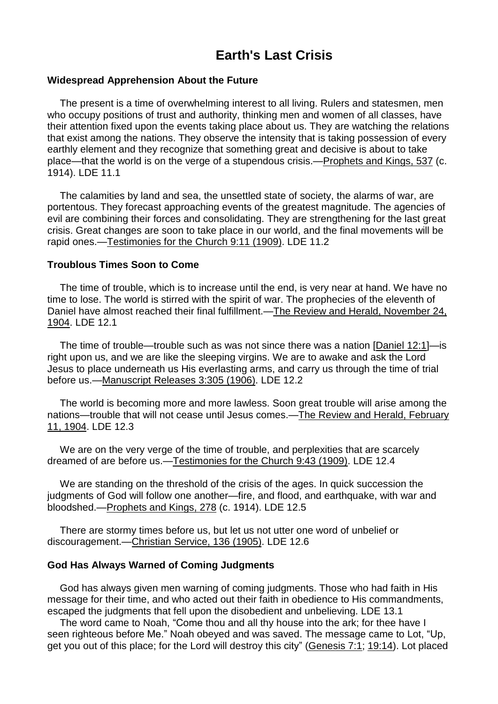# **Chapter Earth's Last Crisis**

### **Widespread Apprehension About the Future**

The present is a time of overwhelming interest to all living. Rulers and statesmen, men who occupy positions of trust and authority, thinking men and women of all classes, have their attention fixed upon the events taking place about us. They are watching the relations that exist among the nations. They observe the intensity that is taking possession of every earthly element and they recognize that something great and decisive is about to take place—that the world is on the verge of a stupendous crisis.[—Prophets](https://m.egwwritings.org/en/book/88.2390#2390) and Kings, 537 (c. 1914). LDE 11.1

The calamities by land and sea, the unsettled state of society, the alarms of war, are portentous. They forecast approaching events of the greatest magnitude. The agencies of evil are combining their forces and consolidating. They are strengthening for the last great crisis. Great changes are soon to take place in our world, and the final movements will be rapid ones.[—Testimonies](https://m.egwwritings.org/en/book/115.52#52) for the Church 9:11 (1909). LDE 11.2

#### **Troublous Times Soon to Come**

The time of trouble, which is to increase until the end, is very near at hand. We have no time to lose. The world is stirred with the spirit of war. The prophecies of the eleventh of Daniel have almost reached their final fulfillment.—The Review and Herald, [November](https://m.egwwritings.org/en/book/821.24851#24851) 24, [1904.](https://m.egwwritings.org/en/book/821.24851#24851) LDE 12.1

The time of trouble—trouble such as was not since there was a nation [\[Daniel](https://m.egwwritings.org/en/book/1965.45056#45056) 12:1]—is right upon us, and we are like the sleeping virgins. We are to awake and ask the Lord Jesus to place underneath us His everlasting arms, and carry us through the time of trial before us.[—Manuscript](https://m.egwwritings.org/en/book/69.1651#1651) Releases 3:305 (1906). LDE 12.2

The world is becoming more and more lawless. Soon great trouble will arise among the nations—trouble that will not cease until Jesus comes.—The Review and Herald, [February](https://m.egwwritings.org/en/book/821.23886#23886) 11, [1904.](https://m.egwwritings.org/en/book/821.23886#23886) LDE 12.3

We are on the very verge of the time of trouble, and perplexities that are scarcely dreamed of are before us.[—Testimonies](https://m.egwwritings.org/en/book/115.229#229) for the Church 9:43 (1909). LDE 12.4

We are standing on the threshold of the crisis of the ages. In quick succession the judgments of God will follow one another—fire, and flood, and earthquake, with war and bloodshed.[—Prophets](https://m.egwwritings.org/en/book/88.1232#1232) and Kings, 278 (c. 1914). LDE 12.5

There are stormy times before us, but let us not utter one word of unbelief or discouragement.[—Christian](https://m.egwwritings.org/en/book/13.948#948) Service, 136 (1905). LDE 12.6

#### **God Has Always Warned of Coming Judgments**

God has always given men warning of coming judgments. Those who had faith in His message for their time, and who acted out their faith in obedience to His commandments, escaped the judgments that fell upon the disobedient and unbelieving. LDE 13.1

The word came to Noah, "Come thou and all thy house into the ark; for thee have I seen righteous before Me." Noah obeyed and was saved. The message came to Lot, "Up, get you out of this place; for the Lord will destroy this city" [\(Genesis](https://m.egwwritings.org/en/book/1965.331#331) 7:1; [19:14\)](https://m.egwwritings.org/en/book/1965.965#965). Lot placed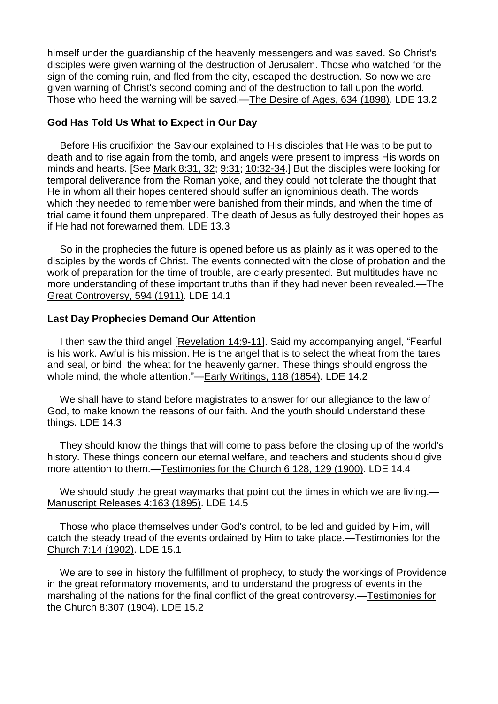himself under the guardianship of the heavenly messengers and was saved. So Christ's disciples were given warning of the destruction of Jerusalem. Those who watched for the sign of the coming ruin, and fled from the city, escaped the destruction. So now we are given warning of Christ's second coming and of the destruction to fall upon the world. Those who heed the warning will be saved.—The Desire of Ages, 634 [\(1898\).](https://m.egwwritings.org/en/book/130.3115#3115) LDE 13.2

# **God Has Told Us What to Expect in Our Day**

Before His crucifixion the Saviour explained to His disciples that He was to be put to death and to rise again from the tomb, and angels were present to impress His words on minds and hearts. [See Mark [8:31,](https://m.egwwritings.org/en/book/1965.50071#50071) 32; [9:31;](https://m.egwwritings.org/en/book/1965.50148#50148) [10:32-34.](https://m.egwwritings.org/en/book/1965.50251#50251)] But the disciples were looking for temporal deliverance from the Roman yoke, and they could not tolerate the thought that He in whom all their hopes centered should suffer an ignominious death. The words which they needed to remember were banished from their minds, and when the time of trial came it found them unprepared. The death of Jesus as fully destroyed their hopes as if He had not forewarned them. LDE 13.3

So in the prophecies the future is opened before us as plainly as it was opened to the disciples by the words of Christ. The events connected with the close of probation and the work of preparation for the time of trouble, are clearly presented. But multitudes have no more understanding of these important truths than if they had never been revealed.[—The](https://m.egwwritings.org/en/book/132.2685#2685) Great [Controversy,](https://m.egwwritings.org/en/book/132.2685#2685) 594 (1911). LDE 14.1

# **Last Day Prophecies Demand Our Attention**

I then saw the third angel [\[Revelation](https://m.egwwritings.org/en/book/1965.63120#63120) 14:9-11]. Said my accompanying angel, "Fearful is his work. Awful is his mission. He is the angel that is to select the wheat from the tares and seal, or bind, the wheat for the heavenly garner. These things should engross the whole mind, the whole attention."—Early [Writings,](https://m.egwwritings.org/en/book/28.682#682) 118 (1854). LDE 14.2

We shall have to stand before magistrates to answer for our allegiance to the law of God, to make known the reasons of our faith. And the youth should understand these things. LDE 14.3

They should know the things that will come to pass before the closing up of the world's history. These things concern our eternal welfare, and teachers and students should give more attention to them.[—Testimonies](https://m.egwwritings.org/en/book/118.722#722) for the Church 6:128, 129 (1900). LDE 14.4

We should study the great waymarks that point out the times in which we are living.— [Manuscript](https://m.egwwritings.org/en/book/57.805#805) Releases 4:163 (1895). LDE 14.5

Those who place themselves under God's control, to be led and guided by Him, will catch the steady tread of the events ordained by Him to take place.[—Testimonies](https://m.egwwritings.org/en/book/117.63#63) for the [Church](https://m.egwwritings.org/en/book/117.63#63) 7:14 (1902). LDE 15.1

We are to see in history the fulfillment of prophecy, to study the workings of Providence in the great reformatory movements, and to understand the progress of events in the marshaling of the nations for the final conflict of the great controversy.[—Testimonies](https://m.egwwritings.org/en/book/112.1856#1856) for the [Church](https://m.egwwritings.org/en/book/112.1856#1856) 8:307 (1904). LDE 15.2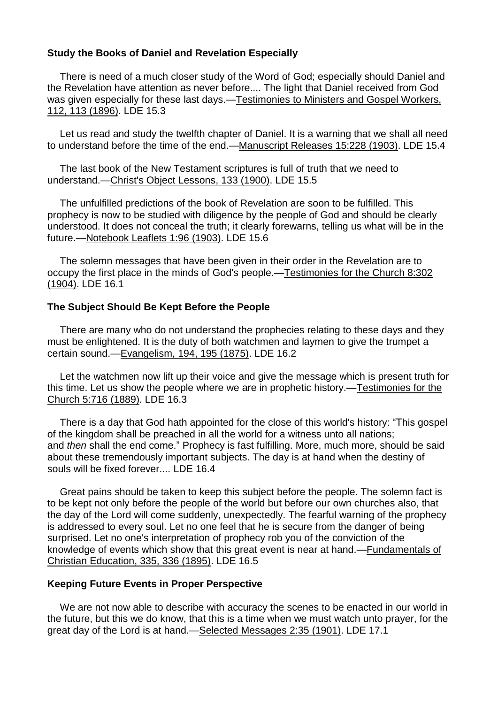# **Study the Books of Daniel and Revelation Especially**

There is need of a much closer study of the Word of God; especially should Daniel and the Revelation have attention as never before.... The light that Daniel received from God was given especially for these last days.[—Testimonies](https://m.egwwritings.org/en/book/123.3010#3010) to Ministers and Gospel Workers, 112, 113 [\(1896\).](https://m.egwwritings.org/en/book/123.3010#3010) LDE 15.3

Let us read and study the twelfth chapter of Daniel. It is a warning that we shall all need to understand before the time of the end.[—Manuscript](https://m.egwwritings.org/en/book/55.1136#1136) Releases 15:228 (1903). LDE 15.4

The last book of the New Testament scriptures is full of truth that we need to understand.—Christ's Object [Lessons,](https://m.egwwritings.org/en/book/15.543#543) 133 (1900). LDE 15.5

The unfulfilled predictions of the book of Revelation are soon to be fulfilled. This prophecy is now to be studied with diligence by the people of God and should be clearly understood. It does not conceal the truth; it clearly forewarns, telling us what will be in the future.[—Notebook](https://m.egwwritings.org/en/book/430.945#945) Leaflets 1:96 (1903). LDE 15.6

The solemn messages that have been given in their order in the Revelation are to occupy the first place in the minds of God's people.[—Testimonies](https://m.egwwritings.org/en/book/112.1826#1826) for the Church 8:302 [\(1904\).](https://m.egwwritings.org/en/book/112.1826#1826) LDE 16.1

#### **The Subject Should Be Kept Before the People**

There are many who do not understand the prophecies relating to these days and they must be enlightened. It is the duty of both watchmen and laymen to give the trumpet a certain sound.[—Evangelism,](https://m.egwwritings.org/en/book/30.1078#1078) 194, 195 (1875). LDE 16.2

Let the watchmen now lift up their voice and give the message which is present truth for this time. Let us show the people where we are in prophetic history.[—Testimonies](https://m.egwwritings.org/en/book/113.3482#3482) for the [Church](https://m.egwwritings.org/en/book/113.3482#3482) 5:716 (1889). LDE 16.3

There is a day that God hath appointed for the close of this world's history: "This gospel of the kingdom shall be preached in all the world for a witness unto all nations; and *then* shall the end come." Prophecy is fast fulfilling. More, much more, should be said about these tremendously important subjects. The day is at hand when the destiny of souls will be fixed forever.... LDE 16.4

Great pains should be taken to keep this subject before the people. The solemn fact is to be kept not only before the people of the world but before our own churches also, that the day of the Lord will come suddenly, unexpectedly. The fearful warning of the prophecy is addressed to every soul. Let no one feel that he is secure from the danger of being surprised. Let no one's interpretation of prophecy rob you of the conviction of the knowledge of events which show that this great event is near at hand.[—Fundamentals](https://m.egwwritings.org/en/book/32.1346#1346) of Christian [Education,](https://m.egwwritings.org/en/book/32.1346#1346) 335, 336 (1895). LDE 16.5

#### **Keeping Future Events in Proper Perspective**

We are not now able to describe with accuracy the scenes to be enacted in our world in the future, but this we do know, that this is a time when we must watch unto prayer, for the great day of the Lord is at hand.—Selected [Messages](https://m.egwwritings.org/en/book/99.174#174) 2:35 (1901). LDE 17.1